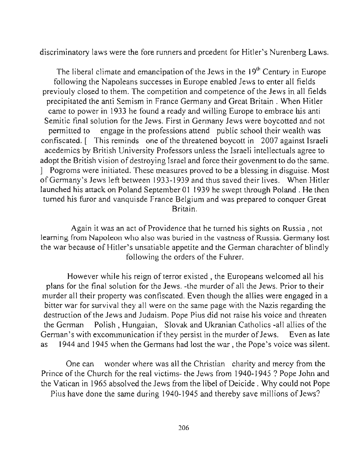discriminatory laws were the fore runners and prcedent for Hitler's Nurenberg Laws.

The liberal climate and emancipation of the Jews in the  $19<sup>th</sup>$  Century in Europe following the Napoleans successes in Europe enabled Jews to enter all fields previouly closed to them. The competition and competence of the Jews in all fields precipitated the anti Semism in France Germany and Great Britain. When Hitler came to power in 1933 he found a ready and willing Europe to embrace his anti Semitic final solution for the Jews. First in Germany Jews were boycotted and not permitted to engage in the professions attend public school their wealth was confiscated. [ This reminds one of the threatened boycott in 2007 against Israeli acedemics by British University Professors unless the Israeli intellectuals agree to adopt the British vision of destroying Israel and force their govenment to do the same. 1 Pogroms were initiated. These measures proved to be a blessing in disguise. Most of Germany's Jews left between 1933-1939 and thus saved their lives. When Hitler launched his attack on Poland September 01 1939 he swept through Poland. He then turned his furor and vanquisde France Belgium and was prepared to conquer Great **Britain.** 

Again it was an act of Providence that he turned his sights on Russia , not **learning frum Napoleon who also was buried in the vastness of Russia. Germany lost**  the war because of Hitler's unsatiable appetite and the German charachter of blindly following the orders of the Fuhrer.

However while his reign of terror existed , the Europeans welcomed all his plans for the final solution for the Jews. -the murder of all the Jews. Prior to their murder all their property was confiscated. Even though the allies were engaged in a bitter war for survival they all were on the same page with the Nazis regarding the destruction of the Jews and Judaism. Pope Pius did not raise his voice and threaten the German Polish, Hungaian, Slovak and Ukranian Catholics -all allies of the German's with excommunication if they persist in the murder of Jews. Even as late as 1944 and 1945 when the Germans had lost the war, the Pope's voice was silent.

One can wonder where was all the Christian charity and mercy from the Prince of the Church for the real victims- the Jews from 1940-1945? Pope John and the Vatican in 1965 absolved the Jews from the libel of Deicide . Why could not Pope Pius have done the same during 1940-1945 and thereby save millions of Jews?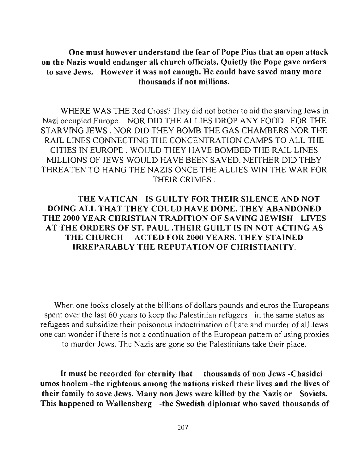One must however understand the fear of Pope Pius that an open attack on the Nazis would endanger all church officials. Quietly the Pope gave orders to save Jews. However it was not enough. He could have saved many more thousands if not millions.

WHERE WAS THE Red Cross? They did not bother to aid the starving Jews in Nazi occupied Europe. NOR DID THE ALLIES DROP ANY FOOD FOR THE STARVING JEWS. NOR OlD THEY BOMB THE GAS CHAMBERS NOR THE RAJL LINES CONNECTING THE CONCENTRATION CAMPS TO ALL THE CITIES IN EUROPE . WOULD THEY HA VE BOMBED THE RAIL LINES MlLLIONS OF JEWS WOULD HAVE BEEN SAVED. NEITHER OlD THEY THREATEN TO HANG THE NAZIS ONCE THE ALLIES WIN THE WAR FOR THEIR CRIMES.

### THE VATICAN IS GUILTY FOR THEIR SILENCE AND NOT DOING ALL THAT THEY COULD HAVE DONE. THEY ABANDONED THE 2000 YEAR CHRISTIAN TRADITION OF SAVING JEWISH LIVES AT THE ORDERS OF ST. PAUL .THEIR GUILT IS IN NOT ACTING AS THE CHURCH ACTED FOR 2000 YEARS. THEY STAINED IRREPARABLY THE REPUTATION OF CHRISTIANITY.

When one looks closely at the billions of dollars pounds and euros the Europeans spent over the last 60 years to keep the Palestinian refugees in the same status as refugees and subsidize their poisonous indoctrination of hate and murder of all Jews one can wonder if there is not a continuation of the European pattern of using proxies to murder Jews. The Nazis are gone so the Palestinians take their place.

It must be recorded for eternity that thousands of non Jews -Chasidei umos hoolem -the righteous among the nations risked their lives and the lives of their family to save Jews. Many non Jews were killed by the Nazis or Soviets. This happened to Wallensberg -the Swedish diplomat who saved thousands of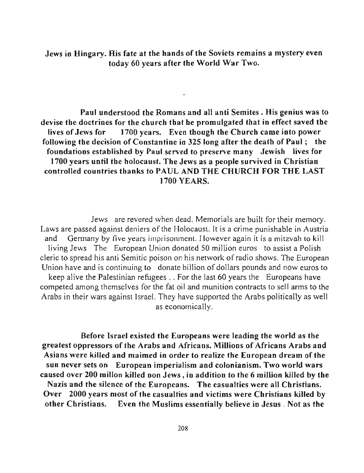Jews in Hingary. His fate at the hands of the Soviets remains a mystery even today 60 years after the World War Two.

Paul understood the Romans and all anti Semites. His genius was to devise tbe doctrines for the church that he promulgated that in effect saved the lives of Jews for 1700 years. Even though the Church came into power following the decision of Constantine in 325 long after the death of Paul; the foundations established by Paul served to preserve many Jewish lives for 1700 years until tbe holocaust. The Jews as a people survived in Christian controlled countries thanks to PAUL AND THE CHURCH FOR THE LAST 1700 YEARS.

Jews are revered when dead. Memorials are built for their memory. Laws are passed against deniers of the Holocaust. It is a crime punishable in Austria and Germany by five years imprisonment. However again it is a mitzvah to kill living Jews The European Union donated 50 million euros to assist a Polish cleric to spread his anti Semitic poison on his network of radio shows. The European Union have and is continuing to donate billion of dollars pounds and now euros to keep alive the Palestinian refugees . . For the last 60 years the Europeans have competed among themselves for the fat oil and munition contracts to sell arms to the Arabs in their wars against Israel. They have supported the Arabs politically as well as economically.

Before Israel existed the Europeans were leading the world as the greatest oppressors of the Arabs and Africans. Millions of Africans Arabs and Asians were killed and maimed in order to realize the European dream of the **sun never sets on European imperialism and colonianism. Two world wars**  caused over 200 millon killed non Jews, in addition to the 6 million killed by the Nazis and the silence of the Europeans. The casualties were all Christians. Over 2000 years most of tbe casualties and victims were Cbristians killed by other Christians. Even the Muslims essentially believe in Jesus . Not as the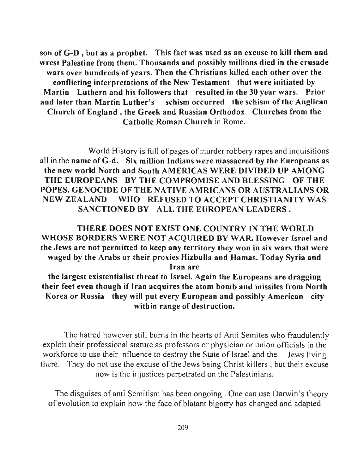son of G-D , but as a prophet. This fact was used as an excuse to kill them and wrest Palestine from them. Thousands and possibly millions died in the crusade wars over hundreds of years. Then the Christians killed each other over the conflicting interpretations of the New Testament that were initiated by Martin Luthern and his followers that resulted in the 30 year wars. Prior and later than Martin Luther's schism occurred the schism of the Anglican Church of England, the Greek and Russian Orthodox Churches from the Catholic Roman Church in Rome.

World History is full of pages of murder robbery rapes and inquisitions all in the name of G-d. Six million Indians were massacred by the Europeans as the new world North and South AMERICAS WERE DIVIDED UP AMONG THE EUROPEANS BY THE COMPROMISE AND BLESSING OF THE POPES. GENOCIDE OF THE NATIVE AMRICANS OR AUSTRALIANS OR NEW ZEALAND WHO REFUSED TO ACCEPT CHRISTIANITY WAS SANCTIONED BY ALL THE EUROPEAN LEADERS.

THERE DOES NOT EXIST ONE COUNTRY IN THE WORLD WHOSE BORDERS WERE NOT ACQUIRED BY WAR. However Israel and the Jews are not permitted to keep any territory they won in six wars that were waged by the Arabs or their proxies Hizbulla and Hamas. Today Syria and **Iran are** 

the largest existentialist threat to Israel. Again the Europeans are dragging their feet even though if Iran acquires the atom bomb and missiles from North Korea or Russia they will put every European and possibly American city within range of destruction.

The hatred however still bums in the hearts of Anti Semites who fraudulently exploit their professional stature as professors or physician or union officials in the workforce to use their influence to destroy the State of Israel and the Jews living there. They do not use the excuse of the Jews being Christ killers, but their excuse now is the injustices perpetrated on the Palestinians.

The disguises of anti Semitism has been ongoing. One can use Darwin's theory of evolution to explain how the face of blatant bigotry has changed and adapted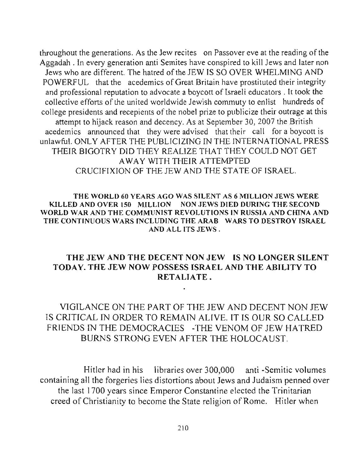throughout the generations. As the Jew recites on Passover eve at the reading of the Aggadah . In every generation anti Semites have conspired to kill Jews and later non Jews who are different. The hatred of the JEW IS SO OVER WHELMING AND POWERFUL that the acedemics of Great Britain have prostituted their integrity and professional reputation to advocate a boycott of Israeli educators. It took the collective efforts of the united worldwide Jewish commuty to enlist hundreds of college presidents and recepients of the nobel prize to publicize their outrage at this attempt to hijack reason and decency. As at September 30, 2007 the British acedemics announced that they were advised that their call for a boycott is unlawful. ONLY AFTER THE PUBLICIZING IN THE INTERNATIONAL PRESS THEIR BIGOTRY DID THEY REALIZE THAT THEY COULD NOT GET A WAY WITH THEIR ATTEMPTED CRUCIFIXION OF THE JEW AND THE STATE OF ISRAEL.

### THE WORLD 60 YEARS AGO WAS SILENT AS 6 MILLION JEWS WERE KILLED AND OVER ISO MILLION NON JEWS DIED DURING THE SECOND WORLD WAR AND THE COMMUNIST REVOLUTIONS IN RUSSIA AND CHINA AND THE CONTINUOUS WARS INCLUDING THE ARAB WARS TO DESTROY ISRAEL AND ALL ITS JEWS.

## THE JEW AND THE DECENT NON JEW IS NO LONGER SILENT TODAY. THE JEW NOW POSSESS ISRAEL AND THE ABILITY TO RETALIATE.

# VIGILANCE ON THE PART OF THE JEW AND DECENT NON JEW IS CRITICAL IN ORDER TO REMAIN ALIVE. IT IS OUR SO CALLED FRIENDS IN THE DEMOCRAClES -THE VENOM OF JEW HATRED BURNS STRONG EVEN AFTER THE HOLOCAUST.

 $\blacksquare$ 

Hitler had in his libraries over 300,000 anti -Semitic volumes containing all the forgeries lies distortions about Jews and Judaism penned over the last 1700 years since Emperor Constantine elected the Trinitarian creed of Christianity to become the State religion of Rome. Hitler when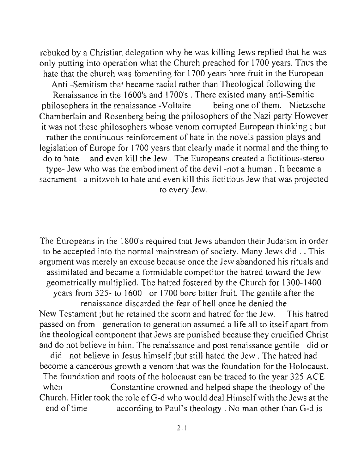rebuked by a Christian delegation why he was killing Jews replied that he was only putting into operation what the Church preached for 1700 years. Thus the hate that the church was fomenting for 1700 years bore fruit in the European Anti -Semitism that became racial rather than Theological following the Renaissance in the 1600's and 1700's. There existed many anti-Semitic philosophers in the renaissance -Voltaire being one of them. Nietzsche Chamberlain and Rosenberg being the philosophers of the Nazi party However it was not these philosophers whose venom corrupted European thinking ; but rather the continuous reinforcement of hate in the novels passion plays and legislation of Europe for 1700 years that clearly made it normal and the thing to do to hate and even kill the Jew. The Europeans created a fictitious-stereo type- Jew who was the embodiment of the devil-not a human. It became a sacrament - a mitzvoh to hate and even kill this fictitious Jew that was projected to every Jew.

The Europeans in the 1800's required that Jews abandon their Judaism in order to be accepted into the normal mainstream of society. Many Jews did .. This argument was merely an excuse because once the Jew abandoned his rituals and assimilated and became a formidable competitor the hatred toward the Jew geometrically multiplied. The hatred fostered by the Church for 1300-1400 years from 325- to 1600 or 1700 bore bitter fruit. The gentile after the renaissance discarded the fear of hell once he denied the New Testament ;but he retained the scorn and hatred for the Jew. This hatred passed on from generation to generation assumed a life all to itself apart from the theological component that Jews are punished because they crucified Christ and do not believe in him. The renaissance and post renaissance gentile did or did not believe in Jesus himself ;but still hated the Jew . The hatred had become a cancerous growth a venom that was the foundation for the Holocaust. The foundation and roots of the holocaust can be traced to the year 325 ACE when Constantine crowned and helped shape the theology of the Church. Hitler took the role ofG-d who would deal Himselfwith the Jews at the end of time according to Paul's theology. No man other than G-d is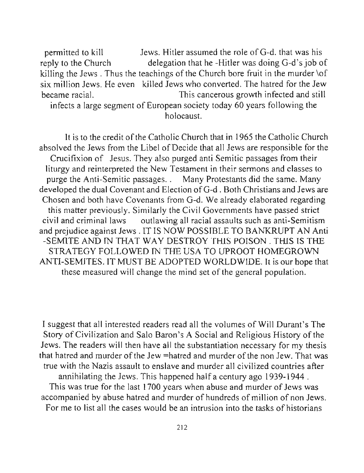permitted to kill Jews. Hitler assumed the role of G-d. that was his reply to the Church delegation that he -Hitler was doing G-d's job of killing the Jews. Thus the teachings of the Church bore fruit in the murder  $\delta$ six million Jews. He even killed Jews who converted. The hatred for the Jew became racial. This cancerous growth infected and still infects a large segment of European society today 60 years following the holocaust.

It is to the credit of the Catholic Church that in 1965 the Catholic Church absolved the Jews from the Libel of Decide that all Jews are responsible for the Crucifixion of Jesus. They also purged anti Semitic passages from their liturgy and reinterpreted the New Testament in their sermons and classes to purge the Anti-Semitic passages. . Many Protestants did the same. Many developed the dual Covenant and Election ofG-d . Both Christians and Jews are Chosen and both have Covenants from G-d. We already elaborated regarding this matter previously. Similarly the Civil Governments have passed strict civil and criminal laws outlawing all racial assaults such as anti-Semitism and prejudice against Jews . IT IS NOW POSSIBLE TO BANKRUPT AN Anti -SEMITE AND IN THAT WAY DESTROY THIS POISON. THIS IS THE STRATEGY FOLLOWED IN THE USA TO UPROOT HOMEGROWN ANTI-SEMITES. IT MUST BE ADOPTED WORLDWIDE. It is our hope that these measured will change the mind set of the general population.

I suggest that all interested readers read all the volumes of Will Durant's The Story of Civilization and Salo Baron's A Social and Religious History of the Jews. The readers will then have all the substantiation necessary for my thesis that hatred and murder of the Jew =hatred and murder of the non Jew. That was true with the Nazis assault to enslave and murder all civilized countries after annihilating the Jews. This happened haIfa century ago 1939-1944. This was true for the last 1700 years when abuse and murder of Jews was accompanied by abuse hatred and murder of hundreds of million of non Jews. For me to list all the cases would be an intrusion into the tasks of historians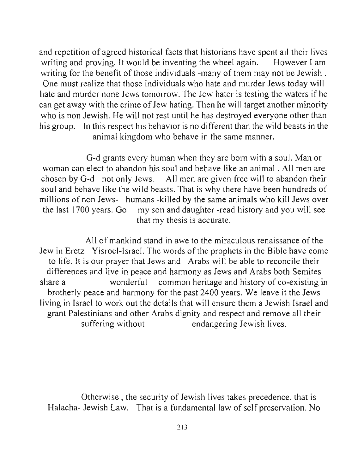and repetition of agreed historical facts that historians have spent all their lives writing and proving. It would be inventing the wheel again. However I am writing for the benefit of those individuals -many of them may not be Jewish. One must realize that those individuals who hate and murder Jews today will hate and murder none Jews tomorrow. The Jew hater is testing the waters if he can get away with the crime of Jew hating. Then he will target another minority who is non Jewish. He will not rest until he has destroyed everyone other than his group. In this respect his behavior is no different than the wild beasts in the animal kingdom who behave in the same manner.

G-d grants every human when they are born with a soul. Man or woman can elect to abandon his soul and behave like an animal. All men are chosen by G-d not only Jews. All men are given free will to abandon their soul and behave like the wild beasts. That is why there have been hundreds of millions of non Jews- humans -killed by the same animals who kill Jews over the last 1700 years. Go my son and daughter -read history and you will see that my thesis is accurate.

All of mankind stand in awe to the miraculous renaissance of the Jew in Eretz Yisroel-lsrael. The words ofthe prophets in the Bible have come to life. It is our prayer that Jews and Arabs will be able to reconcile their differences and live in peace and harmony as Jews and Arabs both Semites share a wonderful common heritage and history of co-existing in brotherly peace and harmony for the past 2400 years. We leave it the Jews living in Israel to work out the details that will ensure them a Jewish Israel and grant Palestinians and other Arabs dignity and respect and remove all their suffering without endangering Jewish lives.

Otherwise, the security of Jewish lives takes precedence. that is Halacha- Jewish Law. That is a fundamental law of self preservation. No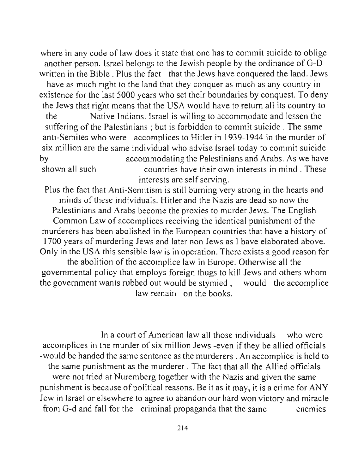where in any code of law does it state that one has to commit suicide to oblige another person. Israel belongs to the Jewish people by the ordinance of G-D written in the Bible. Plus the fact that the Jews have conquered the land. Jews

have as much right to the land that they conquer as much as any country in existence for the last 5000 years who set their boundaries by conquest. To deny the Jews that right means that the USA would have to return all its country to

the Native Indians. Israel is willing to accommodate and lessen the suffering of the Palestinians; but is forbidden to commit suicide. The same anti-Semites who were accomplices to Hitler in 1939-1944 in the murder of six million are the same individual who advise Israel today to commit suicide by accommodating the Palestinians and Arabs. As we have shown all such countries have their own interests in mind. These interests are self serving.

Plus the fact that Anti-Semitism is still burning very strong in the hearts and minds of these individuals. Hitler and the Nazis are dead so now the Palestinians and Arabs become the proxies to murder Jews. The English Common Law of accomplices receiving the identical punishment of the murderers has been abolished in the European countries that have a history of 1700 years of murdering Jews and later non Jews as 1 have elaborated above. Only in the USA this sensible law is in operation. There exists a good reason for the abolition of the accomplice law in Europe. Otherwise all the governmental policy that employs foreign thugs to kill Jews and others whom the government wants rubbed out would be stymied, would the accomplice

law remain on the books.

In a court of American law all those individuals who were accomplices in the murder of six million Jews -even if they be allied officials -would be handed the same sentence as the murderers. An accomplice is held to the same punishment as the murderer. The fact that all the Allied officials were not tried at Nuremberg together with the Nazis and given the same punishment is because of political reasons. Be it as it may, it is a crime for ANY Jew in Israel or elsewhere to agree to abandon our hard won victory and miracle from G-d and fall for the criminal propaganda that the same enemies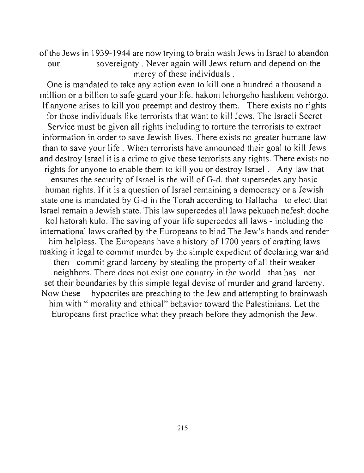of the Jews in 1939-1944 are now trying to brain wash Jews in Israel to abandon our sovereignty. Never again will Jews return and depend on the mercy of these individuals.

One is mandated to take any action even to kill one a hundred a thousand a million or a billion to safe guard your life. hakom lehorgeho hash kem vehorgo. If anyone arises to kill you preempt and destroy them. There exists no rights for those individuals like terrorists that want to kill Jews. The Israeli Secret Service must be given all rights including to torture the terrorists to extract information in order to save Jewish lives. There exists no greater humane law than to save your life. When terrorists have announced their goal to kill Jews and destroy Israel it is a crime to give these terrorists any rights. There exists no rights for anyone to enable them to kill you or destroy Israel. Any law that ensures the security of Israel is the will of G-d. that supersedes any basic human rights. If it is a question of Israel remaining a democracy or a Jewish state one is mandated by G-d in the Torah according to Hallacha to elect that Israel remain a Jewish state. This law supercedes all laws pekuach nefesh doche kol hatorah kulo. The saving of your life supercedes all laws - including the international laws crafted by the Europeans to bind The Jew's hands and render him helpless. The Europeans have a history of 1700 years of crafting laws making it legal to commit murder by the simple expedient of declaring war and then commit grand larceny by stealing the property of all their weaker neighbors. There does not exist one country in the world that has not set their boundaries by this simple legal devise of murder and grand larceny. Now these hypocrites are preaching to the Jew and attempting to brainwash him with " morality and ethical" behavior toward the Palestinians. Let the Europeans first practice what they preach before they admonish the Jew.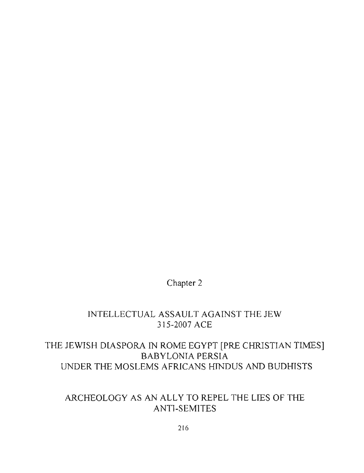# Chapter 2

## INTELLECTUAL ASSAULT AGAINST THE JEW 315-2007 ACE

# THE JEWISH DIASPORA IN ROME EGYPT [PRE CHRISTIAN TIMES] BABYLONiA PERSIA UNDER THE MOSLEMS AFRICANS HINDUS AND BUDHISTS

# ARCHEOLOGY AS AN ALLY TO REPEL THE LIES OF THE ANTI-SEMlTES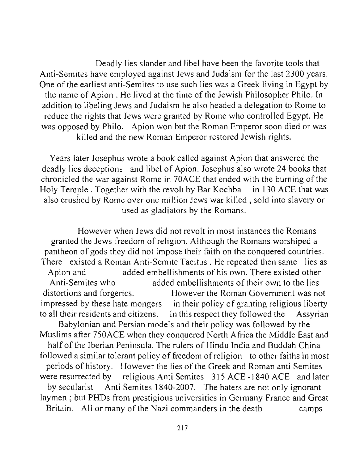Deadly lies slander and libel have been the favorite tools that Anti-Semites have employed against Jews and Judaism for the last 2300 years. One of the earliest anti-Semites to use such lies was a Greek living in Egypt by the name of Apion . He lived at the time of the Jewish Philosopher Philo. **In**  addition to libeling Jews and Judaism he also headed a delegation to Rome to reduce the rights that Jews were granted by Rome who controlled Egypt. He was opposed by Philo. Apion won but the Roman Emperor soon died or was killed and the new Roman Emperor restored Jewish rights.

Years later Josephus wrote a book called against Apion that answered the deadly lies deceptions and libel of Apion. Josephus also wrote 24 books that chronicled the war against Rome in 70ACE that ended with the burning of the Holy Temple. Together with the revolt by Bar Kochba in 130 ACE that was also crushed by Rome over one million Jews war killed, sold into slavery or used as gladiators by the Romans.

However when Jews did not revolt in most instances the Romans granted the Jews freedom of religion. Although the Romans worshiped a pantheon of gods they did not impose their faith on the conquered countries. There existed a Roman Anti-Semite Tacitus. He repeated then same lies as Apion and added embellishments of his own. There existed other Anti-Semites who added embellishments of their own to the lies distortions and forgeries. However the Roman Government was not impressed by these hate mongers in their policy of granting religious liberty to all their residents and citizens. **In** this respect they followed the Assyrian Babylonian and Persian models and their policy was followed by the Muslims after 750ACE when they conquered North Africa the Middle East and half of the Iberian Peninsula. The rulers of Hindu India and Buddah China followed a similar tolerant policy of freedom of religion to other faiths in most periods of history. However the lies of the Greek and Roman anti Semites were resurrected by religious Anti Semites 315 ACE -1840 ACE and later by secularist Anti Semites 1840-2007. The haters are not only ignorant laymen; but PHDs from prestigious universities in Germany France and Great Britain. All or many of the Nazi commanders in the death camps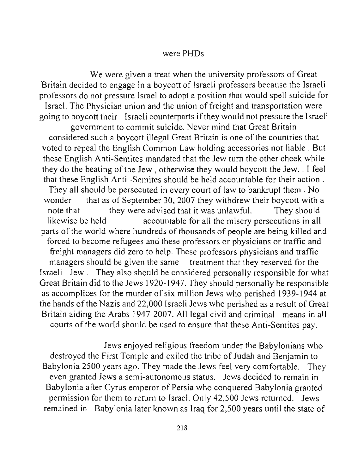### were PHDs

We were given a treat when the university professors of Great Britain decided to engage in a boycott of Israeli professors because the Israeli professors do not pressure Israel to adopt a position that would spell suicide for Israel. The Physician union and the union of freight and transportation were going to boycott their Israeli counterparts if they would not pressure the Israeli government to commit suicide. Never mind that Great Britain considered such a boycott illegal Great Britain is one of the countries that voted to repeal the English Common Law holding accessories not liable. But these English Anti-Semites mandated that the Jew turn the other cheek while they do the beating of the Jew, otherwise they would boycott the Jew. . I feel that these English Anti -Semites should be held accountable for their action. They all should be persecuted in every court of law to bankrupt them. No wonder that as of September 30, 2007 they withdrew their boycott with a note that they were advised that it was unlawful. They should likewise be held accountable for all the misery persecutions in all parts of the world where hundreds of thousands of people are being killed and forced to become refugees and these professors or physicians or traffic and freight managers did zero to help. These professors physicians and traffic managers should be given the same treatment that they reserved for the Israeli Jew. They also should be considered personally responsible for what Great Britain did to the Jews 1920-1947. They should personally be responsible as accomplices for the murder of six million Jews who perished 1939-1944 at the hands of the Nazis and 22,000 Israeli Jews who perished as a result of Great Britain aiding the Arabs 1947-2007. All legal civil and criminal means in all courts of the world should be used to ensure that these Anti-Semites pay.

Jews enjoyed religious freedom under the Babylonians who destroyed the First Temple and exiled the tribe of Judah and Benjamin to Babylonia 2500 years ago. They made the Jews feel very comfortable. They even granted Jews a semi-autonomous status. Jews decided to remain in Babylonia after Cyrus emperor of Persia who conquered Babylonia granted permission for them to return to Israel. Only 42,500 Jews returned. Jews remained in Babylonia later known as Iraq for 2,500 years until the state of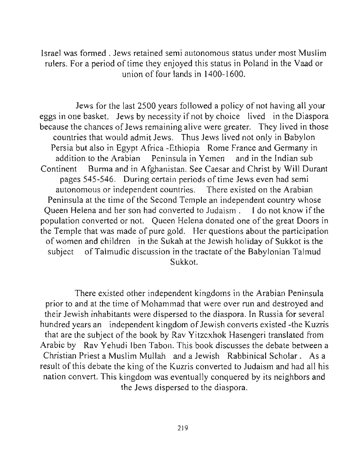Israel was formed. Jews retained semi autonomous status under most Muslim rulers. For a period of time they enjoyed this status in Poland in the Vaad or union of four lands in  $1400 - 1600$ .

Jews for the last 2500 years followed a policy of not having all your eggs in one basket. Jews by necessity if not by choice lived in the Diaspora because the chances of Jews remaining alive were greater. They lived in those countries that would admit Jews. Thus Jews lived not only in Babylon Persia but also in Egypt Africa -Ethiopia Rome France and Germany in addition to the Arabian Peninsula in Yemen and in the Indian sub Continent Burma and in Afghanistan. See Caesar and Christ by Will Durant pages 545-546. During certain periods of time Jews even had semi autonomous or independent countries. There existed on the Arabian Peninsula at the time of the Second Temple an independent country whose Queen Helena and her son had converted to Judaism. I do not know if the population converted or not. Queen Helena donated one of the great Doors in the Temple that was made of pure gold. Her questions about the participation of women and children in the Sukah at the Jewish holiday of Sukkot is the subject of Talmudic discussion in the tractate of the Babylonian Talmud Sukkot.

There existed other independent kingdoms in the Arabian Peninsula prior to and at the time of Mohammad that were over run and destroyed and their Jewish inhabitants were dispersed to the diaspora. In Russia for several hundred years an independent kingdom of Jewish converts existed -the Kuzris that are the subject of the book by Rav Yitzcxhok Hasengeri translated from Arabic by Rav Yehudi Iben Tabon. This book discusses the debate between a Christian Priest a Muslim Mullah and a Jewish Rabbinical Scholar. As a result of this debate the king of the Kuzris converted to Judaism and had all his nation convert. This kingdom was eventually conquered by its neighbors and the Jews dispersed to the diaspora.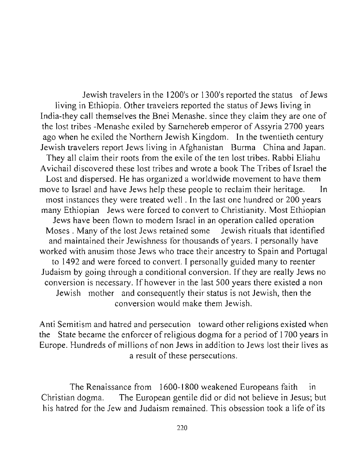Jewish travelers in the 1200's or 1300's reported the status of Jews living in Ethiopia. Other travelers reported the status of Jews living in India-they call themselves the Bnei Menashe. since they claim they are one of the lost tribes -Menashe exiled by Sarnehereb emperor of Assyria 2700 years ago when he exiled the Northern Jewish Kingdom. In the twentieth century Jewish travelers report Jews living in Afghanistan Burma China and Japan. They all claim their roots from the exile of the ten lost tribes. Rabbi Eliahu Avichail discovered these lost tribes and wrote a book The Tribes of Israel the Lost and dispersed. He has organized a worldwide movement to have them move to Israel and have Jews help these people to reclaim their heritage. In most instances they were treated well. In the last one hundred or 200 years many Ethiopian Jews were forced to convert to Christianity. Most Ethiopian Jews have been flown to modem Israel in an operation called operation Moses. Many of the lost Jews retained some Jewish rituals that identified and maintained their Jewishness tor thousands of years. I personally have worked with anusim those Jews who trace their ancestry to Spain and Portugal to 1492 and were forced to convert. I personally guided many to reenter Judaism by going through a conditional conversion. If they are really Jews no conversion is necessary. If however in the last 500 years there existed a non Jewish mother and consequently their status is not Jewish, then the conversion would make them Jewish.

Anti Semitism and hatred and persecution toward other religions existed when the State became the enforcer of religious dogma for a period of 1700 years in Europe. Hundreds of millions of non Jews in addition to Jews lost their lives as a result of these persecutions.

The Renaissance from 1600-1800 weakened Europeans faith in Christian dogma. The European gentile did or did not believe in Jesus; but his hatred for the Jew and Judaism remained. This obsession took a life of its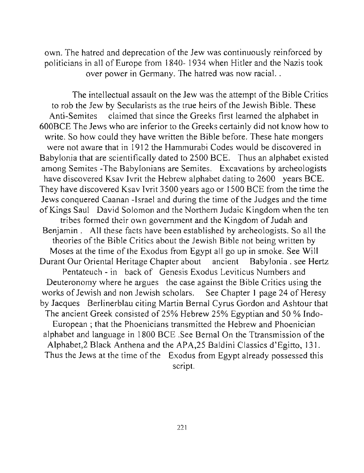own. The hatred and deprecation of the Jew was continuously reinforced by politicians in all of Europe from 1840- 1934 when Hitler and the Nazis took over power in Germany. The hatred was now racial. .

The intellectual assault on the Jew was the attempt of the Bible Critics to rob the Jew by Secularists as the true heirs of the Jewish Bible. These Anti-Semites claimed that since the Greeks first learned the alphabet in 600BCE The Jews who are inferior to the Greeks certainly did not know how to write. So how could they have written the Bible before. These hate mongers were not aware that in 1912 the Hammurabi Codes would be discovered in Babylonia that are scientifically dated to 2500 BCE. Thus an alphabet existed among Semites -The Babylonians are Semites. Excavations by archeologists have discovered Ksav lvrit the Hebrew alphabet dating to 2600 years BCE. They have discovered Ksav Ivrit 3500 years ago or 1500 BCE from the time the Jews conquered Caanan -Israel and during the time of the Judges and the time of Kings Saul David Solomon and the Northern Judaic Kingdom when the ten tribes formed their own government and the Kingdom of Judah and Benjamin. All these facts have been established by archeologists. So all the theories of the Bible Critics about the Jewish Bible not being written by Moses at the time of the Exodus from Egypt all go up in smoke. See Will Durant Our Oriental Heritage Chapter about ancient Babylonia. see Hertz Pentateuch - in back of Genesis Exodus Leviticus Numbers and Deuteronomy where he argues the case against the Bible Critics using the works of Jewish and non Jewish scholars. See Chapter I page 24 of Heresy by Jacques Berlinerblau citing Martin Bernal Cyrus Gordon and Ashtour that The ancient Greek consisted of 25% Hebrew 25% Egyptian and 50 % Indo-European; that the Phoenicians transmitted the Hebrew and Phoenician alphabet and language in 1800 BCE .See Bernal On the Ttransmission of the Alphabet,2 Black Anthena and the APA,25 Baldini Classics d'Egitto, 131. Thus the Jews at the time of the Exodus from Egypt already possessed this script.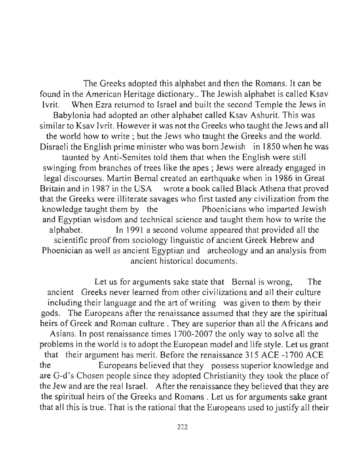The Greeks adopted this alphabet and then the Romans. It can be found in the American Heritage dictionary .. The Jewish alphabet is called Ksav Ivrit. When Ezra returned to Israel and built the second Temple the Jews in Babylonia had adopted an other alphabet called Ksav Ashurit. This was similar to Ksav Ivrit. However it was not the Greeks who taught the Jews and all the world how to write; but the Jews who taught the Greeks and the world. Disraeli the English prime minister who was born Jewish in 1850 when he was taunted by Anti-Semites told them that when the English were still swinging from branches of trees like the apes; Jews were already engaged in legal discourses. Martin Bernal created an earthquake when in 1986 in Great Britain and in 1987 in the USA wrote a book called Black Athena that proved that the Greeks were illiterate savages who first tasted any civilization from the knowledge taught them by the Phoenicians who imparted Jewish and Egyptian wisdom and technical science and taught them how to write the alphabet. In 1991 a second volume appeared that provided all the scientific proof from sociology linguistic of ancient Greek Hebrew and Phoenician as well as ancient Egyptian and archeology and an analysis from ancient historical documents.

Let us for arguments sake state that Bernal is wrong, The ancient Greeks never learned from other civilizations and all their culture including their language and the art of writing was given to them by their gods. The Europeans after the renaissance assumed that they are the spiritual heirs of Greek and Roman culture. They are superior than all the Africans and Asians. [n post renaissance times 1700-2007 the only way to solve all the problems in the world is to adopt the European model and life style. Let us grant that their argument has merit. Before the renaissance 315 ACE -1700 ACE the Europeans believed that they possess superior knowledge and are G-d's Chosen people since they adopted Christianity they took the place of the Jew and are the real Israel. After the renaissance they believed that they are the spiritual heirs of the Greeks and Romans . Let us for arguments sake grant that all this is true. That is the rational that the Europeans used to justify all their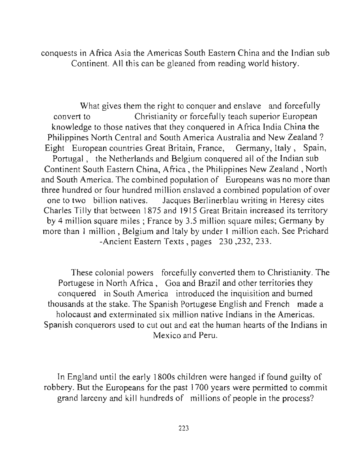conquests in Africa Asia the Americas South Eastern China and the Indian sub Continent. All this can be gleaned from reading world history.

What gives them the right to conquer and enslave and forcefully convert to Christianity or forcefully teach superior European knowledge to those natives that they conquered in Africa India China the Philippines North Central and South America Australia and New Zealand? Eight European countries Great Britain, France, Germany, Italy, Spain, Portugal , the Netherlands and Belgium conquered all of the Indian sub Continent South Eastern China, Africa, the Philippines New Zealand, North and South America. The combined population of Europeans was no more than three hundred or four hundred million enslaved a combined population of over one to two billion natives. Jacques Berlinerblau writing in Heresy cites Charles Tilly that between 1875 and 1915 Great Britain increased its territory by 4 million square miles; France by 3.5 million square miles; Germany by more than I million , Belgium and Italy by under I million each. See Prichard -Ancient Eastern Texts, pages 230 ,232, 233.

These colonial powers forcefully converted them to Christianity. The Portugese in North Africa, Goa and Brazil and other territories they conquered in South America introduced the inquisition and burned thousands at the stake. The Spanish Portugese English and French made a holocaust and exterminated six million native Indians in the Americas. Spanish conquerors used to cut out and eat the human hearts of the Indians in Mexico and Peru.

**In** England until the early 1800s children were hanged if found guilty of robbery. But the Europeans for the past 1700 years were permitted to commit grand larceny and kill hundreds of millions of people in the process?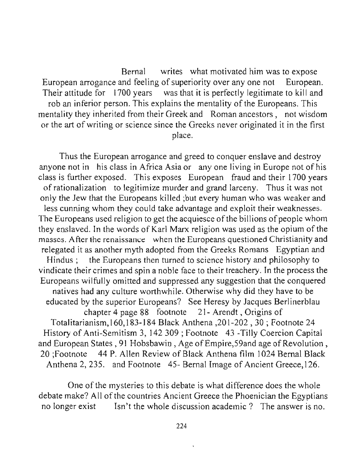Bernal writes what motivated him was to expose European arrogance and feeling of superiority over anyone not European. Their attitude for 1700 years was that it is perfectly legitimate to kill and rob an inferior person. This explains the mentality of the Europeans. This mentality they inherited from their Greek and Roman ancestors, not wisdom or the art of writing or science since the Greeks never originated it in the first place.

Thus the European arrogance and greed to conquer enslave and destroy anyone not in his class in Africa Asia or anyone living in Europe not of his class is further exposed. This exposes European fraud and their 1700 years of rationalization to legitimize murder and grand larceny. Thus it was not only the Jew that the Europeans killed ;but every human who was weaker and less cunning whom they could take advantage and exploit their weaknesses. The Europeans used religion to get the acquiesce of the billions of people whom they enslaved. **In** the words of Karl Marx religion was used as the opium of the masses. After the renaissance when the Europeans questioned Christianity and relegated it as another myth adopted from the Greeks Romans Egyptian and Hindus ; the Europeans then turned to science history and philosophy to vindicate their crimes and spin a noble face to their treachery. **In** the process the Europeans wilfully omitted and suppressed any suggestion that the conquered natives had any culture worthwhile. Otherwise why did they have to be educated by the superior Europeans? See Heresy by Jacques Berlinerblau chapter 4 page 88 footnote 21 - Arendt, Origins of Totalitarianism, I 60,1 83-1 84 Black Anthena ,201-202,30; Footnote 24 History of Anti-Semitism 3, 142309; Footnote 43 -Tilly Coercion Capital and European States, 91 Hobsbawin, Age of Empire, 59 and age of Revolution, 20 ;Footnote 44 P. Allen Review of Black Anthena film 1024 Bernal Black Anthena 2, 235. and Footnote 45- Bernal Image of Ancient Greece, 126.

One of the mysteries to this debate is what difference does the whole debate make? All of the countries Ancient Greece the Phoenician the Egyptians no longer exist Isn't the whole discussion academic? The answer is no.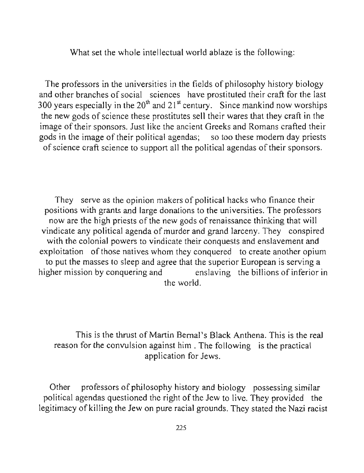What set the whole intellectual world ablaze is the following:

The professors in the universities in the fields of philosophy history biology and other branches of social sciences have prostituted their craft for the last 300 years especially in the  $20<sup>th</sup>$  and  $21<sup>st</sup>$  century. Since mankind now worships the new gods of science these prostitutes sell their wares that they craft in the image of their sponsors. Just like the ancient Greeks and Romans crafted their gods in the image of their political agendas; so too these modem day priests of science craft science to support all the political agendas of their sponsors.

They serve as the opinion makers of political hacks who finance their positions with grants and large donations to the universities. The professors now are the high priests of the new gods of renaissance thinking that will vindicate any political agenda of murder and grand larceny. They conspired with the colonial powers to vindicate their conquests and enslavement and exploitation of those natives whom they conquered to create another opium to put the masses to sleep and agree that the superior European is serving a higher mission by conquering and enslaving the billions of inferior in the world.

This is the thrust of Martin Bernal's Black Anthena. This is the real reason for the convulsion against him . The following is the practical application for Jews.

Other professors of philosophy history and biology possessing similar political agendas questioned the right of the Jew to live. They provided the legitimacy of killing the Jew on pure racial grounds. They stated the Nazi racist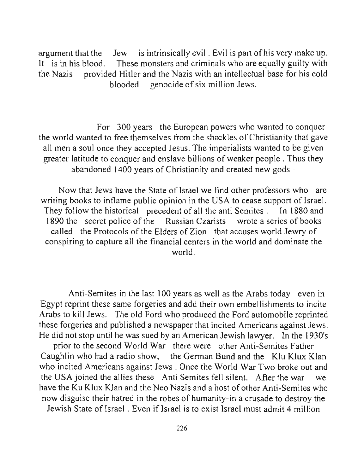argument that the Jew is intrinsically evil. Evil is part of his very make up. It is in his blood. These monsters and criminals who are equally guilty with the Nazis provided Hitler and the Nazis with an intellectual base for his cold blooded genocide of six million Jews.

For 300 years the European powers who wanted to conquer the world wanted to free themselves from the shackles of Christianity that gave all men a soul once they accepted Jesus. The imperialists wanted to be given greater latitude to conquer and enslave billions of weaker people. Thus they abandoned 1400 years of Christianity and created new gods -

Now that Jews have the State of Israel we find other professors who are writing books to inflame public opinion in the USA to cease support of Israel. They follow the historical precedent of all the anti Semites. In 1880 and 1890 the secret police of the Russian Czarists wrote a series of books called the Protocols of the Elders of Zion that accuses world Jewry of conspiring to capture all the financial centers in the world and dominate the world.

Anti-Semites in the last 100 years as well as the Arabs today even in Egypt reprint these same forgeries and add their own embellishments to incite Arabs to kill Jews. The old Ford who produced the Ford automobile reprinted these forgeries and published a newspaper that incited Americans against Jews. He did not stop until he was sued by an American Jewish lawyer. In the 1930's

prior to the second World War there were other Anti-Semites Father Caughlin who had a radio show, the German Bund and the Klu Klux Klan who incited Americans against Jews. Once the World War Two broke out and the USA joined the allies these Anti Semites fell silent. After the war we have the Ku Klux Klan and the Neo Nazis and a host of other Anti-Semites who now disguise their hatred in the robes of humanity-in a crusade to destroy the Jewish State of Israel . Even if Israel is to exist Israel must admit 4 million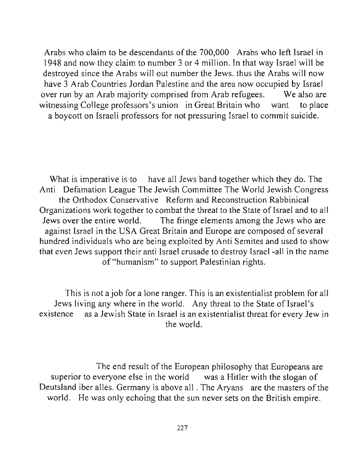Arabs who claim to be descendants of the 700,000 Arabs who left Israel in 1948 and now they claim to number 3 or 4 million. In that way Israel will be destroyed since the Arabs will out number the Jews. thus the Arabs will now have 3 Arab Countries Jordan Palestine and the area now occupied by Israel over run by an Arab majority comprised from Arab refugees. We also are witnessing College professors's union in Great Britain who want to place a boycott on Israeli professors for not pressuring Israel to commit suicide.

What is imperative is to have all Jews band together which they do. The Anti Defamation League The Jewish Committee The World Jewish Congress the Orthodox Conservative Reform and Reconstruction Rabbinical Organizations work together to combat the threat to the State of Israel and to all Jews over the entire world. The fringe elements among the Jews who are against Israel in the USA Great Britain and Europe are composed of several hundred individuals who are being exploited by Anti Semites and used to show that even Jews support their anti Israel crusade to destroy Israel -all in the name of "humanism" to support Palestinian rights.

This is not ajob for a lone ranger. This is an existentialist problem for all Jews living any where in the world. Any threat to the State of Israel's existence as a Jewish State in Israel is an existentialist threat for every Jew in the world.

The end result of the European philosophy that Europeans are superior to everyone else in the world was a Hitler with the slogan of Deutsland iber alles. Germany is above all . The Aryans are the masters of the world. He was only echoing that the sun never sets on the British empire.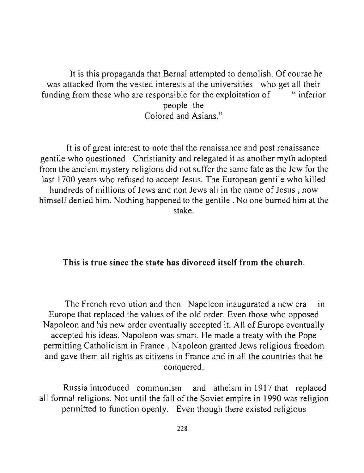It is this propaganda that Bernal attempted to demolish. Of course he was attacked from the vested interests at the universities who get all their funding from those who are responsible for the exploitation of "inferior" people -the Colored and Asians."

It is of great interest to note that the renaissance and post renaissance gentile who questioned Christianity and relegated it as another myth adopted from the ancient mystery religions did not suffer the same fate as the Jew for the last 1700 years who refused to accept Jesus. The European gentile who killed hundreds of millions of Jews and non Jews all in the name of Jesus, now himself denied him. Nothing happened to the gentile. No one burned him at the stake.

### This is true since the state has divorced itself from the church.

The French revolution and then Napoleon inaugurated a new era in Europe that replaced the values of the old order. Even those who opposed Napoleon and his new order eventually accepted it. All of Europe eventually accepted his ideas. Napoleon was smart. He made a treaty with the Pope permitting Catholicism in France. Napoleon granted Jews religious freedom and gave them all rights as citizens in France and in all the countries that he conquered.

Russia introduced communism and atheism in 1917 that replaced all formal religions. Not until the fall of the Soviet empire in 1990 was religion permitted to function openly. Even though there existed religious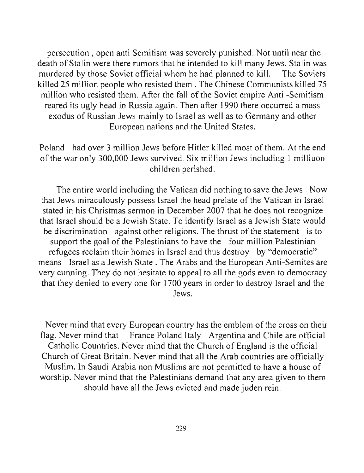persecution, open anti Semitism was severely punished. Not until near the death of Stalin were there rumors that he intended to kill many Jews. Stalin was murdered by those Soviet official whom he had planned to kill. The Soviets killed 25 million people who resisted them. The Chinese Communists killed 75 million who resisted them. After the fall of the Soviet empire Anti -Semitism reared its ugly head in Russia again. Then after 1990 there occurred a mass exodus of Russian Jews mainly to Israel as well as to Germany and other European nations and the United States.

Poland had over 3 million Jews before Hitler killed most of them. At the end of the war only 300,000 Jews survived. Six million Jews including I milliuon children perished.

The entire world including the Vatican did nothing to save the Jews. Now that Jews miraculously possess Israel the head prelate of the Vatican in Israel stated in his Christmas sermon in December 2007 that he does not recognize that Israel should be a Jewish State. To identify Israel as a Jewish State would be discrimination against other religions. The thrust of the statement is to support the goal of the Palestinians to have the four million Palestinian refugees reclaim their homes in Israel and thus destroy by "democratic" means Israel as a Jewish State. The Arabs and the European Anti-Semites are very cunning. They do not hesitate to appeal to all the gods even to democracy that they denied to every one for 1700 years in order to destroy Israel and the Jews.

Never mind that every European country has the emblem of the cross on their flag. Never mind that France Poland Italy Argentina and Chile are official Catholic Countries. Never mind that the Church of England is the official Church of Great Britain. Never mind that all the Arab countries are officially Muslim. In Saudi Arabia non Muslims are not permitted to have a house of worship. Never mind that the Palestinians demand that any area given to them should have all the Jews evicted and made juden rein.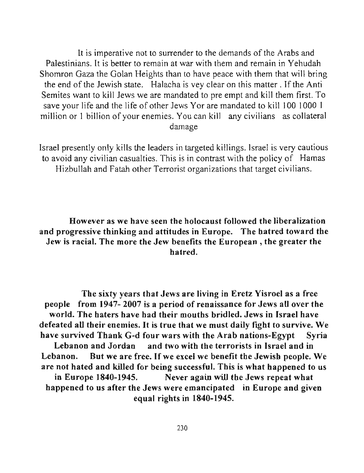It is imperative not to surrender to the demands of the Arabs and Palestinians. It is better to remain at war with them and remain in Yehudah Shomron Gaza the Golan Heights than to have peace with them that will bring the end of the Jewish state. Halacha is vey clear on this matter. If the Anti Semites want to kill Jews we are mandated to pre empt and kill them first. To save your life and the life of other Jews Yor are mandated to kill 100 1000 I million or I billion of your enemies. You can kill any civilians as collateral damage

Israel presently only kills the leaders in targeted killings. Israel is very cautious to avoid any civilian casualties. This is in contrast with the policy of Hamas Hizbullah and Fatah other Terrorist organizations that target civilians.

# However as we have seen the holocaust followed the liberalization and progressive thinking and attitudes in Europe. The hatred toward the Jew is racial. The more the Jew benefits the European, the greater the hatred.

The sixty years that Jews are living in Eretz Yisroel as a free people from 1947- 2007 is a period of renaissance for Jews all over the world. The haters have had their mouths bridled. Jews in Israel have defeated all their enemies. It is true that we must daily fight to survive. We have survived Thank G-d four wars with the Arab nations-Egypt Syria Lebanon and Jordan and two with the terrorists in Israel and in Lebanon. But we are free. If we excel we benefit the Jewish people. We are not hated and killed for being successful. This is what happened to us in Europe 1840-1945. Never again will the Jews repeat what happened to us after the Jews were emancipated in Europe and given equal rights in 1840-1945.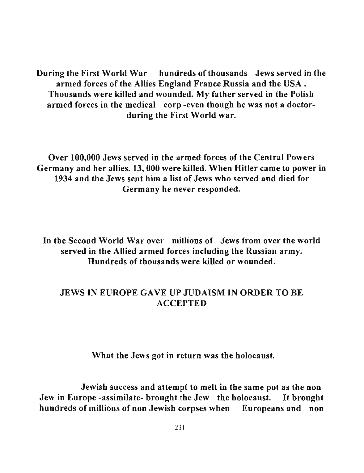During the First World War hundreds of thousands Jews served in the armed forces of the Allies England France Russia and the USA. Thousands were killed and wounded. My father served in the Polish armed forces in the medical corp -even though he was not a doctorduring the First World war.

Over 100,000 Jews served in the armed forces of the Central Powers Germany and her allies. 13,000 were killed. When Hitler came to power in 1934 and the Jews sent him a list of Jews who served and died for Germany he never responded.

**In** the Second World War over millions of Jews from over the world served in the Allied armed forces including the Russian army. Hundreds of thousands were killed or wounded.

## JEWS IN EUROPE GAVE UP JUDAISM IN ORDER TO BE ACCEPTED

What the Jews got in return was the holocaust.

Jewish success and attempt to melt in the same pot as the non Jew in Europe -assimilate- brought the Jew the holocaust. It brought hundreds of millions of non Jewish corpses when Europeans and non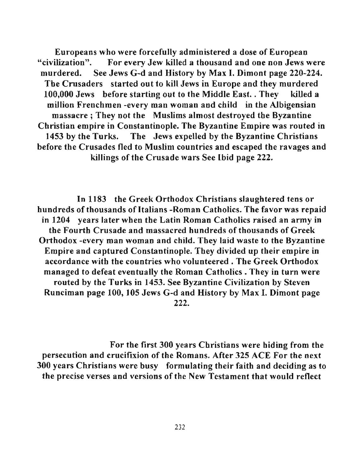Europeans who were forcefully administered a dose of European "civilization". For every Jew killed a thousand and one non Jews were murdered. See Jews G-d and History by Max I. Dimont page 220-224. The Crusaders started out to kill Jews in Europe and they murdered 100,000 Jews before starting out to the Middle East. . They killed a million Frenchmen -every man woman and child in the Albigensian massacre; They not the Muslims almost destroyed the Byzantine Christian empire in Constantinople. The Byzantine Empire was routed in 1453 by the Turks. The Jews expelled by the Byzantine Christians before the Crusades fled to Muslim countries and escaped the ravages and killings of the Crusade wars See Ibid page 222.

In 1183 the Greek Orthodox Christians slaughtered tens or hundreds of thousands of Italians -Roman Catholics. The favor was repaid in 1204 years later when the Latin Roman Catholics raised an army in the Fourth Crusade and massacred hundreds of thousands of Greek Orthodox -every man woman and child. They laid waste to the Byzantine Empire and captured Constantinople. They divided up their empire in accordance with the countries who volunteered. The Greek Orthodox managed to defeat eventually the Roman Catholics. They in turn were routed by the Turks in 1453. See Byzantine Civilization by Steven Runciman page 100, 105 Jews G-d and History by Max I. Dimont page 222.

For the first 300 years Christians were hiding from the persecution and crucifixion of the Romans. After 325 ACE For the next 300 years Christians were busy formulating their faith and deciding as to the precise verses and versions of the New Testament that would reflect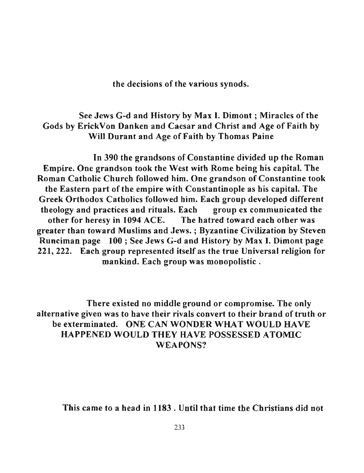the decisions of the various synods.

# See Jews G-d and History by Max I. Dimont ; Miracles of the Gods by ErickVon Danken and Caesar and Christ and Age of Faith by Will Durant and Age of Faith by Thomas Paine

In 390 the grandsons of Constantine divided up the Roman Empire. One grandson took the West with Rome being his capital. The Roman Catholic Church followed him. One grandson of Constantine took the Eastern part of the empire with Constantinople as his capital. The Greek Orthodox Catholics followed him. Each group developed different theology and practices and rituals. Each group ex communicated the other for heresy in 1094 ACE. The hatred toward each other was greater than toward Muslims and Jews. ; Byzantine Civilization by Steven Runciman page 100; See Jews G-d and History by Max I. Dimont page 221,222. Each group represented itself as the true Universal religion for mankind. Each group was monopolistic.

There existed no middle ground or compromise. The only alternative given was to have their rivals convert to their brand of truth or be exterminated. ONE CAN WONDER WHAT WOULD HAVE HAPPENED WOULD THEY HAVE POSSESSED ATOMJC WEAPONS?

This came to a head in 1183 . Until that time the Christians did not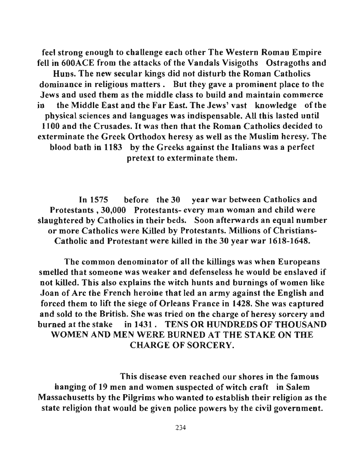feel strong enough to cballenge eacb other The Western Roman Empire fell in 600ACE from the attacks of the Vandals Visigoths Ostragoths and Huns. The new secular kings did not disturb the Roman Catholics dominance in religious matters. But they gave a prominent place to the Jews and used tbem as tbe middle class to build and maintain commerce in the Middle East and the Far East. The Jews' vast knowledge of the physical sciences and languages was indispensable. All this lasted until 1100 and the Crusades. It was then that the Roman Catholics decided to exterminate the Greek Orthodox heresy as well as the Muslim beresy. The blood bath in 1183 by the Greeks against the Italians was a perfect pretext to exterminate them.

In 1575 before the 30 year war between Catholics and Protestants,30,000 Protestants- every man woman and child were slaughtered by Catbolics in their beds. Soon afterwards an equal number or more Catholics were Killed by Protestants. Millions of Christians-Catbolic and Protestant were killed in the 30 year war 1618-1648.

The common denominator of all the killings was when Europeans smelled that someone was weaker and defenseless he would be enslaved if not killed. This also explains the witcb hunts and burnings of women like Joan of Arc tbe French heroine that led an army against the English and forced them to lift the siege of Orleans France in 1428. She was captured and sold to the British. She was tried on the charge of heresy sorcery and burned at tbe stake in 1431. TENS OR HUNDREDS OF THOUSAND WOMEN AND MEN WERE BURNED AT THE STAKE ON THE CHARGE OF SORCERY.

This disease even reached our shores in the famous hanging of 19 men and women suspected of witch craft in Salem Massacbusetts by the Pilgrims wbo wanted to establish their religion as the state religion that would be given police powers by the civil government.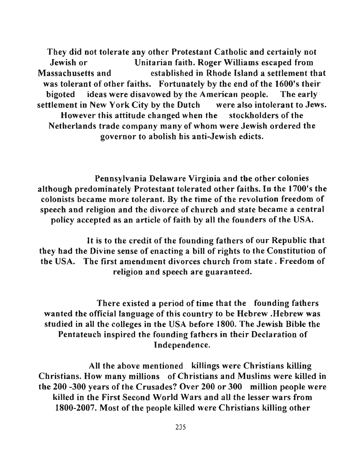They did not tolerate any other Protestant Catholic and certainly not Jewish or Unitarian faith. Roger Williams escaped from Massachusetts and established in Rhode Island a settlement that was tolerant of other faiths. Fortunately by the end of the 1600's their bigoted ideas were disavowed by the American people. The early settlement in New York City by the Dutch were also intolerant to Jews. However this attitude changed when the stockholders of the Netherlands trade company many of whom were Jewish ordered the governor to abolish his anti-Jewish edicts.

Pennsylvania Delaware Virginia and the other colonies although predominately Protestant tolerated other faiths. **In** the 1700's the colonists became more tolerant. By the time of the revolution freedom of speech and religion and the divorce of church and state became a central policy accepted as an article of faith by all the founders of the USA.

It is to the credit of the founding fathers of our Republic that they had the Divine sense of enacting a bill of rights to the Constitution of the USA. The first amendment divorces churcb from state. Freedom of religion and speech are guaranteed.

There existed a period of time that the founding fathers wanted the official language of this country to be Hebrew .Hebrew was studied in all the colleges in tbe USA before 1800. The Jewish Bible the Pentateuch inspired the founding fatbers in their Declaration of Independence.

All the above mentioned killings were Christians killing Christians. How many millions of Christians and Muslims were killed in tbe 200 -300 years of the Crusades? Over 200 or 300 million people were killed in the First Second World Wars and all tbe lesser wars from 1800-2007. Most of the people killed were Christians killing other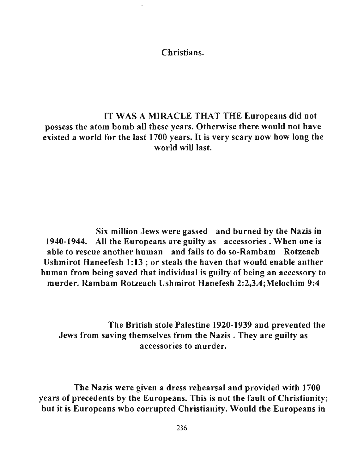Christians.

IT WAS A MIRACLE THAT THE Europeans did not possess the atom bomb all these years. Otherwise there would not have existed a world for the last 1700 years. It is very scary now how long the world will last.

Six million Jews were gassed and burned by the Nazis in 1940-1944. All the Europeans are guilty as accessories. When one is able to rescue another human and fails to do so-Rambam Rotzeach Ushmirot Haneefesh 1:13; or steals the haven that would enable anther human from being saved that individual is guilty of being an accessory to murder. Rambam Rotzeach Ushmirot Hanefesh 2:2,3.4;Melochim 9:4

The British stole Palestine 1920-1939 and prevented the Jews from saving themselves from the Nazis . They are guilty as accessories to murder.

The Nazis were given a dress rehearsal and provided with 1700 years of precedents by the Europeans. This is not the fault of Christianity; but it is Europeans who corrupted Christianity. Would the Europeans in